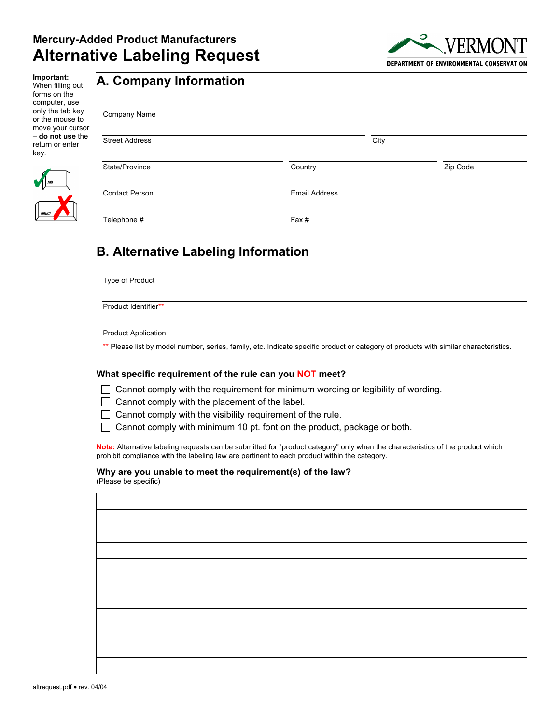

**Important:**  When filling out forms on the computer, use only the tab key or the mouse to move your cursor – **do not use** the return or enter key.

## **A. Company Information**

| Company Name          |                      |          |
|-----------------------|----------------------|----------|
| <b>Street Address</b> | City                 |          |
| State/Province        | Country              | Zip Code |
| <b>Contact Person</b> | <b>Email Address</b> |          |
| Telephone #           | Fax#                 |          |

# **B. Alternative Labeling Information**

Type of Product

Product Identifier\*\*

Product Application

\*\* Please list by model number, series, family, etc. Indicate specific product or category of products with similar characteristics.

#### **What specific requirement of the rule can you NOT meet?**

 $\Box$  Cannot comply with the requirement for minimum wording or legibility of wording.

- $\Box$  Cannot comply with the placement of the label.
- $\Box$  Cannot comply with the visibility requirement of the rule.

 $\Box$  Cannot comply with minimum 10 pt. font on the product, package or both.

**Note:** Alternative labeling requests can be submitted for "product category" only when the characteristics of the product which prohibit compliance with the labeling law are pertinent to each product within the category.

#### **Why are you unable to meet the requirement(s) of the law?**

(Please be specific)